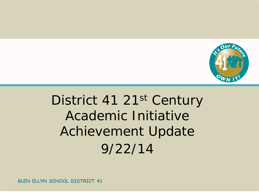

# District 41 21st Century Academic Initiative Achievement Update 9/22/14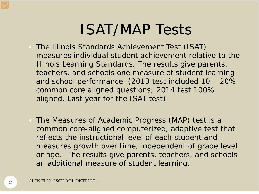# ISAT/MAP Tests

- The Illinois Standards Achievement Test (ISAT) measures individual student achievement relative to the Illinois Learning Standards. The results give parents, teachers, and schools *one measure* of student learning and school performance. (2013 test included 10 – 20% common core aligned questions; 2014 test 100% aligned. Last year for the ISAT test)
- The Measures of Academic Progress (MAP) test is a common core-aligned computerized, adaptive test that reflects the instructional level of each student and measures growth over time, independent of grade level or age. The results give parents, teachers, and schools an additional *measure* of student learning.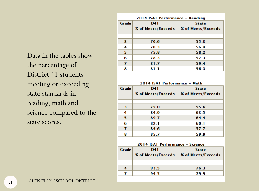Data in the tables show the percentage of District 41 students meeting or exceeding state standards in reading, math and science compared to the state scores.

| 2014 ISAT Performance - Reading |                    |                           |  |  |
|---------------------------------|--------------------|---------------------------|--|--|
| Grade                           | <b>D41</b>         | <b>State</b>              |  |  |
|                                 | X of Meets/Exceeds | <b>X</b> of Meets/Exceeds |  |  |
|                                 |                    |                           |  |  |
| з                               | 70.6               | 55.3                      |  |  |
| 4                               | 70.3               | 56.4                      |  |  |
| 5                               | 75.8               | 58.2                      |  |  |
| 6                               | 78.3               | 57.3                      |  |  |
| 7                               | 81.7               | 59.4                      |  |  |
| 8                               | 81.1               | 56.3                      |  |  |

#### 2014 ISAT Performance - Math

| Grade | D41                | <b>State</b>       |
|-------|--------------------|--------------------|
|       | X of Meets/Exceeds | X of Meets/Exceeds |
|       |                    |                    |
| з     | 75.0               | 55.6               |
| 4     | 84.9               | 63.5               |
| 5     | 89.7               | 64.4               |
| 6     | 82.1               | 60.1               |
| 7     | 84.6               | 57.7               |
| 8     | 85.7               | 59.9               |

#### 2014 ISAT Performance - Science

| Grade | D41<br><b>X</b> of Meets/Exceeds   <b>X</b> of Meets/Exceeds | <b>State</b> |
|-------|--------------------------------------------------------------|--------------|
|       |                                                              |              |
| 4     | 93.5                                                         | 76.3         |
|       | 94.5                                                         | 79.9         |
|       |                                                              |              |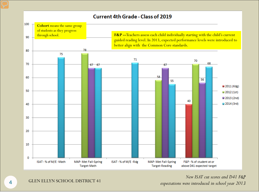

## *New ISAT cut scores and D41 F&P*

*expectations were introduced in school year 2013*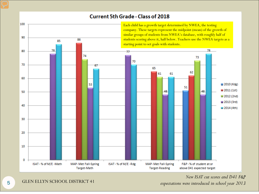### **Current 5th Grade - Class of 2018**



*New ISAT cut scores and D41 F&P* 

*expectations were introduced in school year 2013*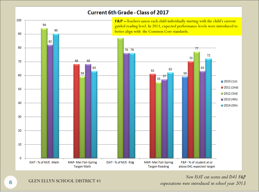### Current 6th Grade - Class of 2017



*New ISAT cut scores and D41 F&P expectations were introduced in school year 2013*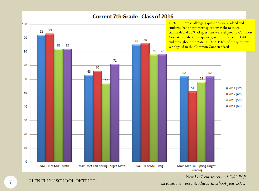

### **Current 7th Grade - Class of 2016**

*New ISAT cut scores and D41 F&P expectations were introduced in school year 2013*

**GLEN ELLYN SCHOOL DISTRICT 41**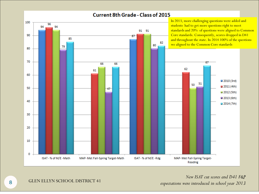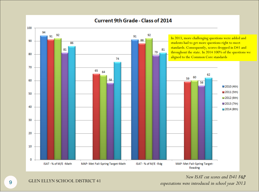

#### **Current 9th Grade - Class of 2014**

*New ISAT cut scores and D41 F&P*  expectations were introduced in school year 2013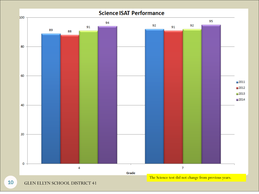

GLEN ELLYN SCHOOL DISTRICT 41

10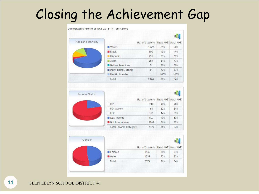# Closing the Achievement Gap

#### Demographic Profile of ISAT 2013-14 Test-takers

| Race and Ethnicity |                     | No. of Students Read M+E Math M+E |      |      |
|--------------------|---------------------|-----------------------------------|------|------|
|                    | <b>White</b>        | 1629                              | 85%  | 90%  |
|                    | <b>Black</b>        | 100                               | 43%  | 49%  |
|                    | <b>Hispanic</b>     | 296                               | 51%  | 62%  |
|                    | $\Box$ Asian        | 259                               | 61%  | 77%  |
|                    | Native American     | 5                                 | 20%  | 60%  |
|                    | Multi-Racial/Ethnic | 84                                | 77%  | 87%  |
|                    | Pacific Islander    | $\overline{1}$                    | 100% | 100% |
|                    | Total               | 2374                              | 76%  | 84%  |

| <b>Income Status</b> |                              |                                   |     |     |
|----------------------|------------------------------|-----------------------------------|-----|-----|
|                      |                              | No. of Students Read M+E Math M+E |     |     |
|                      | <b>IEP</b>                   | 210                               | 40% | 48% |
|                      | 504 Accom                    | 68                                | 62% | 84% |
|                      | LEP                          | 171                               | 14% | 33% |
|                      | Low Income                   | 507                               | 40% | 53% |
|                      | Not Low Income               | 1867                              | 86% | 92% |
|                      | <b>Total Income Category</b> | 2374                              | 76% | 84% |

| Gender |               |                                   |     |     |
|--------|---------------|-----------------------------------|-----|-----|
|        |               | No. of Students Read M+E Math M+E |     |     |
|        | <b>Female</b> | 1135                              | 80% | 84% |
|        | <b>Male</b>   | 1239                              | 72% | 83% |
|        | Total         | 2374                              | 76% | 84% |
|        |               |                                   |     |     |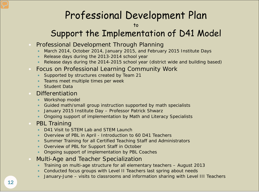## Professional Development Plan

to

## Support the Implementation of D41 Model

- Professional Development Through Planning
	- March 2014, October 2014, January 2015, and February 2015 Institute Days
	- Release days during the 2013-2014 school year
	- Release days during the 2014-2015 school year (district wide and building based)
- Focus on Professional Learning Community Work
	- Supported by structures created by Team 21
	- Teams meet multiple times per week
	- Student Data
- Differentiation
	- Workshop model
	- Guided math/small group instruction supported by math specialists
	- January 2015 Institute Day Professor Patrick Shwarz
	- Ongoing support of implementation by Math and Literacy Specialists
- PBL Training
	- D41 Visit to STFM Lab and STFM Launch
	- Overview of PBL in April Introduction to 60 D41 Teachers
	- Summer Training for all Certified Teaching Staff and Administrators
	- Overview of PBL for Support Staff in October
	- **Ongoing support of implementation by PBL Coaches**
- Multi-Age and Teacher Specialization
	- Training on multi-age structure for all elementary teachers August 2013
	- Conducted focus groups with Level II Teachers last spring about needs
	- January-June visits to classrooms and information sharing with Level III Teachers